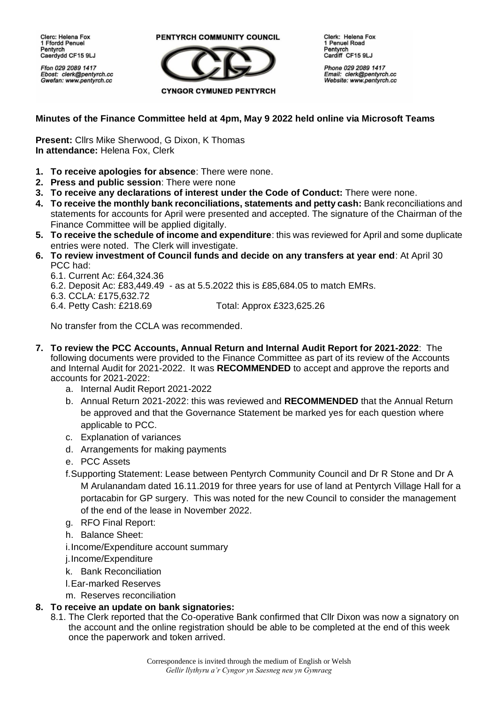Clerc: Helena Fox 1 Ffordd Penuel Pentvrch Caerdydd CF15 9LJ

Ffon 029 2089 1417 Ebost: clerk@pentyrch.cc Gwefan: www.pentyrch.cc

PENTYRCH COMMUNITY COUNCIL



Clerk: Helena Fox 1 Penuel Road Pentyrch Cardiff CF15 9LJ

Phone 029 2089 1417 Email: clerk@pentyrch.cc<br>Website: www.pentyrch.cc

## **Minutes of the Finance Committee held at 4pm, May 9 2022 held online via Microsoft Teams**

**Present:** Cllrs Mike Sherwood, G Dixon, K Thomas **In attendance:** Helena Fox, Clerk

- **1. To receive apologies for absence**: There were none.
- **2. Press and public session**: There were none
- **3. To receive any declarations of interest under the Code of Conduct:** There were none.
- **4. To receive the monthly bank reconciliations, statements and petty cash:** Bank reconciliations and statements for accounts for April were presented and accepted. The signature of the Chairman of the Finance Committee will be applied digitally.
- **5. To receive the schedule of income and expenditure**: this was reviewed for April and some duplicate entries were noted. The Clerk will investigate.
- **6. To review investment of Council funds and decide on any transfers at year end**: At April 30 PCC had:
	- 6.1. Current Ac: £64,324.36

6.2. Deposit Ac: £83,449.49 - as at 5.5.2022 this is £85,684.05 to match EMRs.

6.3. CCLA: £175,632.72

6.4. Petty Cash: £218.69 Total: Approx £323,625.26

No transfer from the CCLA was recommended.

- **7. To review the PCC Accounts, Annual Return and Internal Audit Report for 2021-2022**: The following documents were provided to the Finance Committee as part of its review of the Accounts and Internal Audit for 2021-2022. It was **RECOMMENDED** to accept and approve the reports and accounts for 2021-2022:
	- a. Internal Audit Report 2021-2022
	- b. Annual Return 2021-2022: this was reviewed and **RECOMMENDED** that the Annual Return be approved and that the Governance Statement be marked yes for each question where applicable to PCC.
	- c. Explanation of variances
	- d. Arrangements for making payments
	- e. PCC Assets
	- f.Supporting Statement: Lease between Pentyrch Community Council and Dr R Stone and Dr A M Arulanandam dated 16.11.2019 for three years for use of land at Pentyrch Village Hall for a portacabin for GP surgery. This was noted for the new Council to consider the management of the end of the lease in November 2022.
	- g. RFO Final Report:
	- h. Balance Sheet:
	- i.Income/Expenditure account summary

j.Income/Expenditure

- k. Bank Reconciliation
- l.Ear-marked Reserves
- m. Reserves reconciliation

## **8. To receive an update on bank signatories:**

8.1. The Clerk reported that the Co-operative Bank confirmed that Cllr Dixon was now a signatory on the account and the online registration should be able to be completed at the end of this week once the paperwork and token arrived.